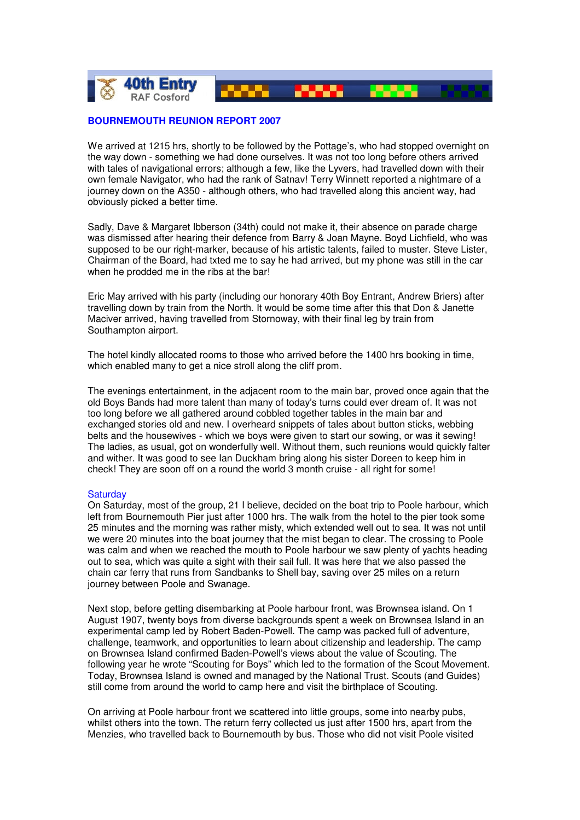

## **BOURNEMOUTH REUNION REPORT 2007**

We arrived at 1215 hrs, shortly to be followed by the Pottage's, who had stopped overnight on the way down - something we had done ourselves. It was not too long before others arrived with tales of navigational errors; although a few, like the Lyvers, had travelled down with their own female Navigator, who had the rank of Satnav! Terry Winnett reported a nightmare of a journey down on the A350 - although others, who had travelled along this ancient way, had obviously picked a better time.

Sadly, Dave & Margaret Ibberson (34th) could not make it, their absence on parade charge was dismissed after hearing their defence from Barry & Joan Mayne. Boyd Lichfield, who was supposed to be our right-marker, because of his artistic talents, failed to muster. Steve Lister, Chairman of the Board, had txted me to say he had arrived, but my phone was still in the car when he prodded me in the ribs at the bar!

Eric May arrived with his party (including our honorary 40th Boy Entrant, Andrew Briers) after travelling down by train from the North. It would be some time after this that Don & Janette Maciver arrived, having travelled from Stornoway, with their final leg by train from Southampton airport.

The hotel kindly allocated rooms to those who arrived before the 1400 hrs booking in time, which enabled many to get a nice stroll along the cliff prom.

The evenings entertainment, in the adjacent room to the main bar, proved once again that the old Boys Bands had more talent than many of today's turns could ever dream of. It was not too long before we all gathered around cobbled together tables in the main bar and exchanged stories old and new. I overheard snippets of tales about button sticks, webbing belts and the housewives - which we boys were given to start our sowing, or was it sewing! The ladies, as usual, got on wonderfully well. Without them, such reunions would quickly falter and wither. It was good to see Ian Duckham bring along his sister Doreen to keep him in check! They are soon off on a round the world 3 month cruise - all right for some!

## **Saturday**

On Saturday, most of the group, 21 I believe, decided on the boat trip to Poole harbour, which left from Bournemouth Pier just after 1000 hrs. The walk from the hotel to the pier took some 25 minutes and the morning was rather misty, which extended well out to sea. It was not until we were 20 minutes into the boat journey that the mist began to clear. The crossing to Poole was calm and when we reached the mouth to Poole harbour we saw plenty of yachts heading out to sea, which was quite a sight with their sail full. It was here that we also passed the chain car ferry that runs from Sandbanks to Shell bay, saving over 25 miles on a return journey between Poole and Swanage.

Next stop, before getting disembarking at Poole harbour front, was Brownsea island. On 1 August 1907, twenty boys from diverse backgrounds spent a week on Brownsea Island in an experimental camp led by Robert Baden-Powell. The camp was packed full of adventure, challenge, teamwork, and opportunities to learn about citizenship and leadership. The camp on Brownsea Island confirmed Baden-Powell's views about the value of Scouting. The following year he wrote "Scouting for Boys" which led to the formation of the Scout Movement. Today, Brownsea Island is owned and managed by the National Trust. Scouts (and Guides) still come from around the world to camp here and visit the birthplace of Scouting.

On arriving at Poole harbour front we scattered into little groups, some into nearby pubs, whilst others into the town. The return ferry collected us just after 1500 hrs, apart from the Menzies, who travelled back to Bournemouth by bus. Those who did not visit Poole visited